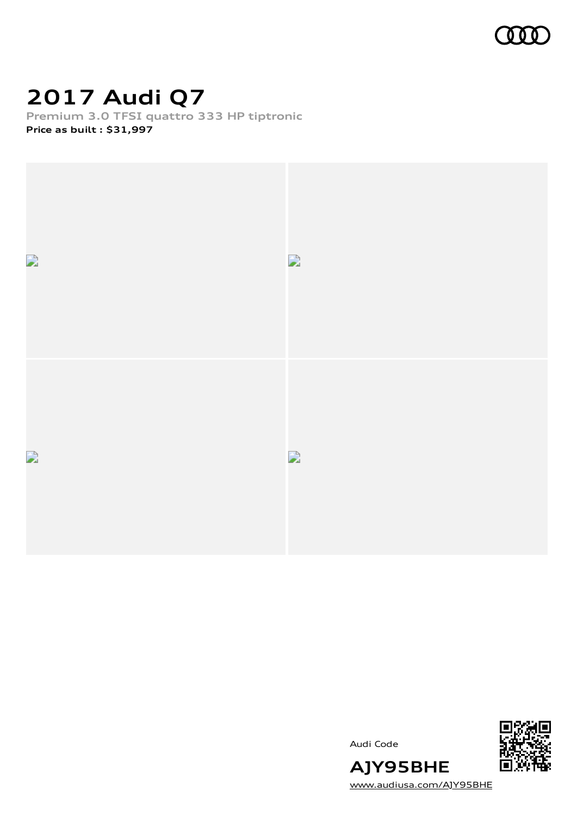

## **2017 Audi Q7**

**Premium 3.0 TFSI quattro 333 HP tiptronic Price as built [:](#page-10-0) \$31,997**



Audi Code



[www.audiusa.com/AJY95BHE](https://www.audiusa.com/AJY95BHE)

**AJY95BHE**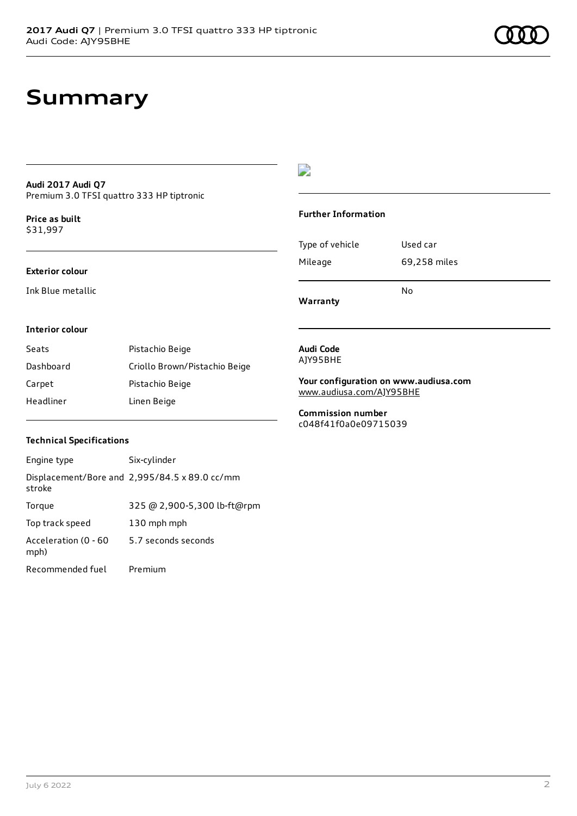#### **Audi 2017 Audi Q7** Premium 3.0 TFSI quattro 333 HP tiptronic

**Price as buil[t](#page-10-0)** \$31,997

### **Exterior colour**

Ink Blue metallic

### $\overline{\phantom{a}}$

#### **Further Information**

|                 | N٥           |
|-----------------|--------------|
| Mileage         | 69,258 miles |
| Type of vehicle | Used car     |

**Warranty**

#### **Interior colour**

| Seats     | Pistachio Beige               |
|-----------|-------------------------------|
| Dashboard | Criollo Brown/Pistachio Beige |
| Carpet    | Pistachio Beige               |
| Headliner | Linen Beige                   |

#### **Audi Code** AJY95BHE

**Your configuration on www.audiusa.com** [www.audiusa.com/AJY95BHE](https://www.audiusa.com/AJY95BHE)

**Commission number** c048f41f0a0e09715039

#### **Technical Specifications**

| Engine type                  | Six-cylinder                                  |
|------------------------------|-----------------------------------------------|
| stroke                       | Displacement/Bore and 2,995/84.5 x 89.0 cc/mm |
| Torque                       | 325 @ 2,900-5,300 lb-ft@rpm                   |
| Top track speed              | 130 mph mph                                   |
| Acceleration (0 - 60<br>mph) | 5.7 seconds seconds                           |
| Recommended fuel             | Premium                                       |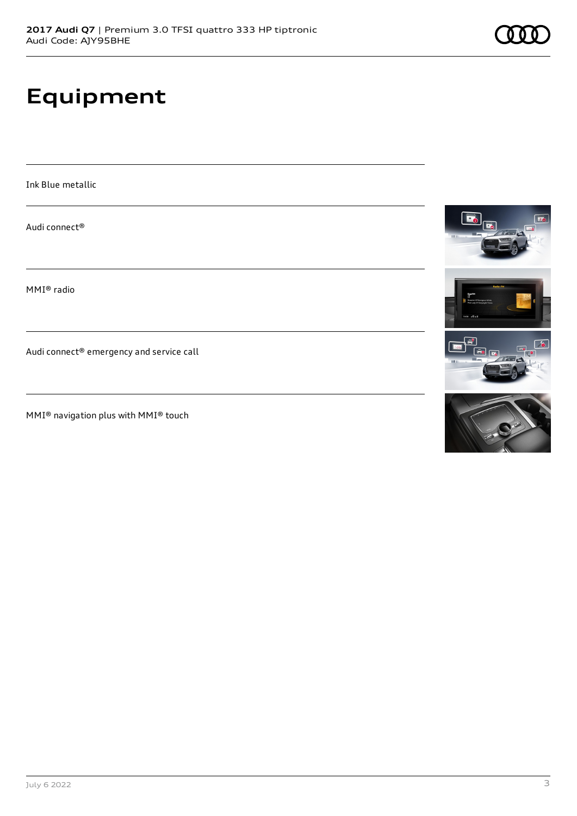# **Equipment**

Ink Blue metallic

Audi connect®

MMI® radio

Audi connect® emergency and service call

MMI® navigation plus with MMI® touch



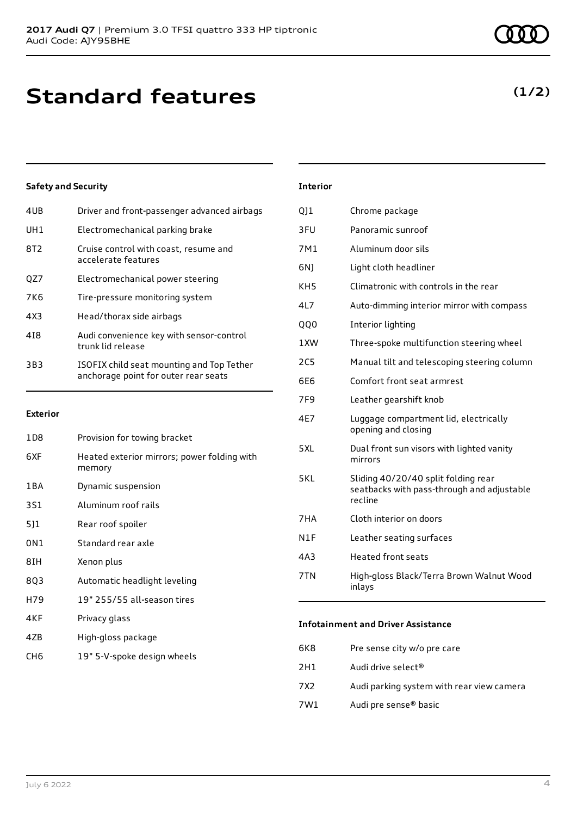### **Standard features**

### **Safety and Security**

| 4UB             | Driver and front-passenger advanced airbags                                       |
|-----------------|-----------------------------------------------------------------------------------|
| UH1             | Electromechanical parking brake                                                   |
| 8T2             | Cruise control with coast, resume and<br>accelerate features                      |
| QZ7             | Electromechanical power steering                                                  |
| 7K <sub>6</sub> | Tire-pressure monitoring system                                                   |
| 4X3             | Head/thorax side airbags                                                          |
| 418             | Audi convenience key with sensor-control<br>trunk lid release                     |
| 3B3             | ISOFIX child seat mounting and Top Tether<br>anchorage point for outer rear seats |

#### **Exterior**

| 1D <sub>8</sub> | Provision for towing bracket                          |
|-----------------|-------------------------------------------------------|
| 6XF             | Heated exterior mirrors; power folding with<br>memory |
| 1 B A           | Dynamic suspension                                    |
| 3S1             | Aluminum roof rails                                   |
| 511             | Rear roof spoiler                                     |
| 0N1             | Standard rear axle                                    |
| 8IH             | Xenon plus                                            |
| 803             | Automatic headlight leveling                          |
| H79             | 19" 255/55 all-season tires                           |
| 4KF             | Privacy glass                                         |
| 47B             | High-gloss package                                    |
|                 |                                                       |

### CH6 19" 5-V-spoke design wheels

| QJ1             | Chrome package                                                                               |
|-----------------|----------------------------------------------------------------------------------------------|
| 3FU             | Panoramic sunroof                                                                            |
| 7M1             | Aluminum door sils                                                                           |
| 6N)             | Light cloth headliner                                                                        |
| KH <sub>5</sub> | Climatronic with controls in the rear                                                        |
| 4L7             | Auto-dimming interior mirror with compass                                                    |
| QQ0             | Interior lighting                                                                            |
| 1XW             | Three-spoke multifunction steering wheel                                                     |
| 2C <sub>5</sub> | Manual tilt and telescoping steering column                                                  |
| 6E6             | Comfort front seat armrest                                                                   |
| 7F <sub>9</sub> | Leather gearshift knob                                                                       |
| 4E7             | Luggage compartment lid, electrically<br>opening and closing                                 |
| 5XL             | Dual front sun visors with lighted vanity<br>mirrors                                         |
| 5KL             | Sliding 40/20/40 split folding rear<br>seatbacks with pass-through and adjustable<br>recline |
| 7HA             | Cloth interior on doors                                                                      |
| N1F             | Leather seating surfaces                                                                     |
| 4A3             | <b>Heated front seats</b>                                                                    |
| 7TN             | High-gloss Black/Terra Brown Walnut Wood<br>inlays                                           |

#### **Infotainment and Driver Assistance**

| 6K8  | Pre sense city w/o pre care               |
|------|-------------------------------------------|
| 2H1  | Audi drive select®                        |
| 7X2. | Audi parking system with rear view camera |
| 7W1  | Audi pre sense® basic                     |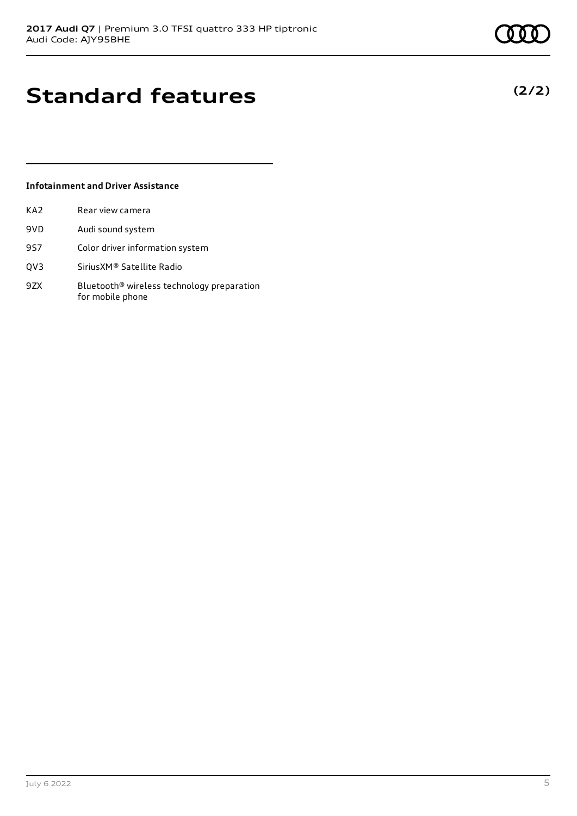**(2/2)**

# **Standard features**

### **Infotainment and Driver Assistance**

| KA2 | Rear view camera                                       |
|-----|--------------------------------------------------------|
| 9VD | Audi sound system                                      |
| 9S7 | Color driver information system                        |
| QV3 | Sirius XM <sup>®</sup> Satellite Radio                 |
| 9ZX | Bluetooth <sup>®</sup> wireless technology preparation |

for mobile phone

July 6 2022 5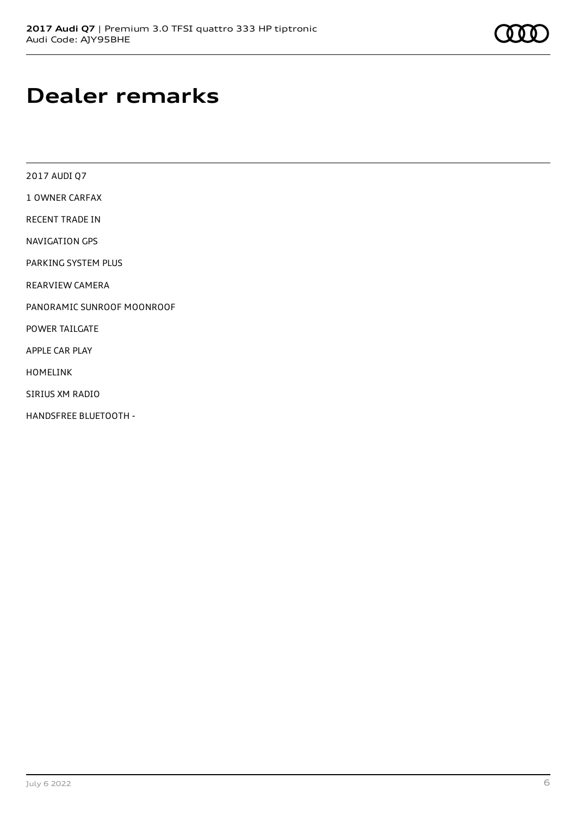### **Dealer remarks**

2017 AUDI Q7

1 OWNER CARFAX

RECENT TRADE IN

NAVIGATION GPS

PARKING SYSTEM PLUS

REARVIEW CAMERA

PANORAMIC SUNROOF MOONROOF

POWER TAILGATE

APPLE CAR PLAY

HOMELINK

SIRIUS XM RADIO

HANDSFREE BLUETOOTH -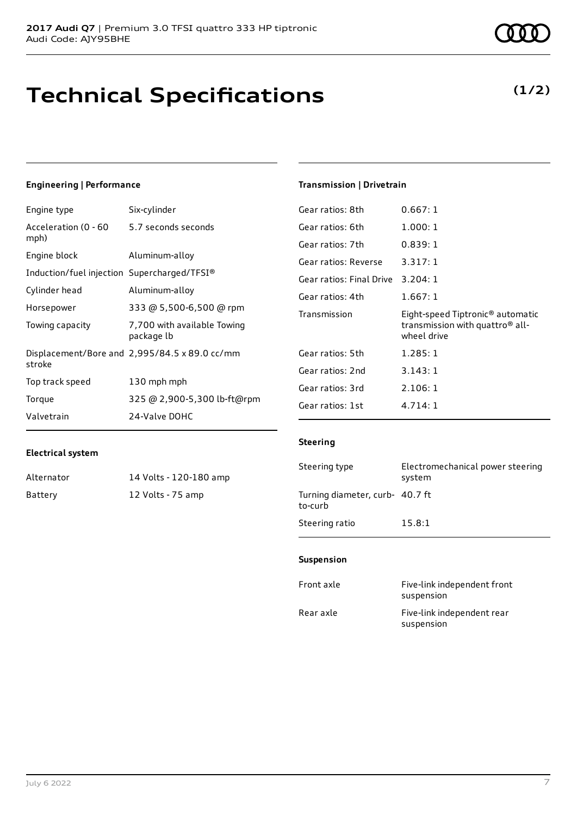# **Technical Specifications**

### **Engineering | Performance**

| Engine type                                 | Six-cylinder                                                 |
|---------------------------------------------|--------------------------------------------------------------|
| Acceleration (0 - 60<br>mph)                | 5.7 seconds seconds                                          |
| Engine block                                | Aluminum-alloy                                               |
| Induction/fuel injection Supercharged/TFSI® |                                                              |
| Cylinder head                               | Aluminum-alloy                                               |
| Horsepower                                  | 333 @ 5,500-6,500 @ rpm                                      |
| Towing capacity                             | 7,700 with available Towing<br>package lb                    |
| stroke                                      | Displacement/Bore and $2,995/84.5 \times 89.0 \text{ cc/mm}$ |
| Top track speed                             | 130 mph mph                                                  |
| Torque                                      | 325 @ 2,900-5,300 lb-ft@rpm                                  |
| Valvetrain                                  | 24-Valve DOHC                                                |

### **Transmission | Drivetrain**

| Gear ratios: 8th         | 0.667:1                                                                                                    |
|--------------------------|------------------------------------------------------------------------------------------------------------|
| Gear ratios: 6th         | 1.000:1                                                                                                    |
| Gear ratios: 7th         | 0.839:1                                                                                                    |
| Gear ratios: Reverse     | 3.317:1                                                                                                    |
| Gear ratios: Final Drive | 3.204:1                                                                                                    |
| Gear ratios: 4th         | 1.667:1                                                                                                    |
|                          |                                                                                                            |
| Transmission             | Eight-speed Tiptronic <sup>®</sup> automatic<br>transmission with quattro <sup>®</sup> all-<br>wheel drive |
| Gear ratios: 5th         | 1.285:1                                                                                                    |
| Gear ratios: 2nd         | 3.143:1                                                                                                    |
| Gear ratios: 3rd         | 2.106:1                                                                                                    |
| Gear ratios: 1st         | 4.714:1                                                                                                    |

### **Electrical system**

| Alternator | 14 Volts - 120-180 amp |
|------------|------------------------|
| Battery    | 12 Volts - 75 amp      |

| Steering type                              | Electromechanical power steering<br>system |
|--------------------------------------------|--------------------------------------------|
| Turning diameter, curb- 40.7 ft<br>to-curb |                                            |

### **Suspension**

Steering ratio 15.8:1

**Steering**

| Front axle | Five-link independent front<br>suspension |
|------------|-------------------------------------------|
| Rear axle  | Five-link independent rear<br>suspension  |

### **(1/2)**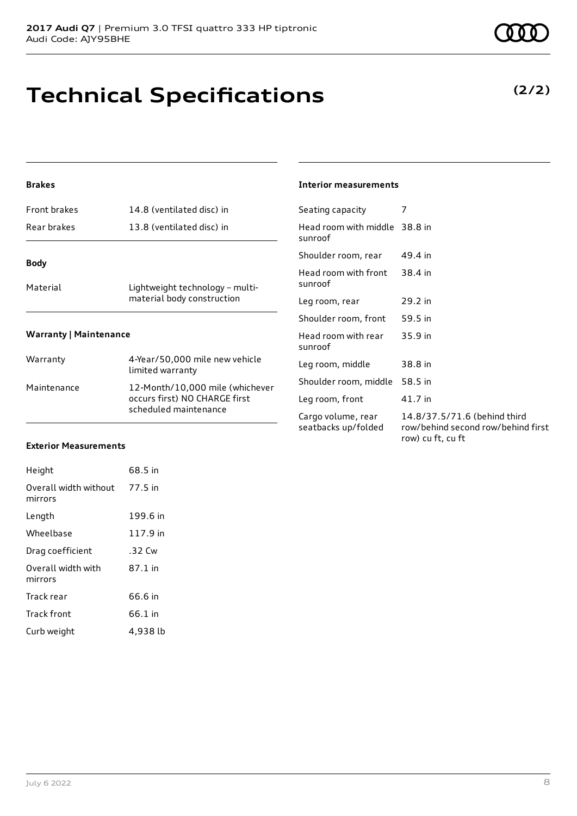# **Technical Specifications**

### **Brakes**

| <b>Front brakes</b>           | 14.8 (ventilated disc) in                                     |  |  |
|-------------------------------|---------------------------------------------------------------|--|--|
| Rear brakes                   | 13.8 (ventilated disc) in                                     |  |  |
| <b>Body</b>                   |                                                               |  |  |
| Material                      | Lightweight technology - multi-<br>material body construction |  |  |
| <b>Warranty   Maintenance</b> |                                                               |  |  |
| Warranty                      | 4-Year/50,000 mile new vehicle<br>limited warranty            |  |  |

| <i>vvariality</i> | 4-real/30,000 mile new venicle<br>limited warranty                                        |
|-------------------|-------------------------------------------------------------------------------------------|
| Maintenance       | 12-Month/10,000 mile (whichever<br>occurs first) NO CHARGE first<br>scheduled maintenance |

### **Interior measurements**

| Seating capacity                          | 7                                                                                       |
|-------------------------------------------|-----------------------------------------------------------------------------------------|
| Head room with middle 38.8 in<br>sunroof  |                                                                                         |
| Shoulder room, rear                       | 49.4 in                                                                                 |
| Head room with front<br>sunroof           | 38.4 in                                                                                 |
| Leg room, rear                            | $29.2$ in                                                                               |
| Shoulder room, front                      | 59.5 in                                                                                 |
| Head room with rear<br>sunroof            | $35.9$ in                                                                               |
| Leg room, middle                          | 38.8 in                                                                                 |
| Shoulder room, middle                     | 58.5 in                                                                                 |
| Leg room, front                           | 41.7 in                                                                                 |
| Cargo volume, rear<br>seatbacks up/folded | 14.8/37.5/71.6 (behind third<br>row/behind second row/behind first<br>row) cu ft, cu ft |

### **Exterior Measurements**

| Height                           | 68.5 in  |
|----------------------------------|----------|
| Overall width without<br>mirrors | 77.5 in  |
| Length                           | 199.6 in |
| Wheelbase                        | 117.9 in |
| Drag coefficient                 | .32 Cw   |
| Overall width with<br>mirrors    | 87.1 in  |
| Track rear                       | 66.6 in  |
| Track front                      | 66.1 in  |
| Curb weight                      | 4.938 lb |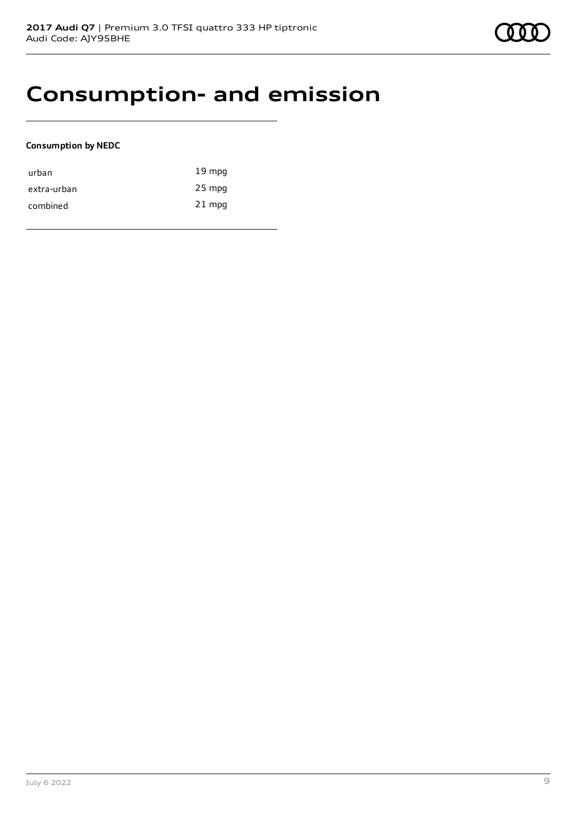### **Consumption- and emission**

### **Consumption by NEDC**

| urban       | $19 \text{ mpg}$ |
|-------------|------------------|
| extra-urban | 25 mpg           |
| combined    | $21$ mpg         |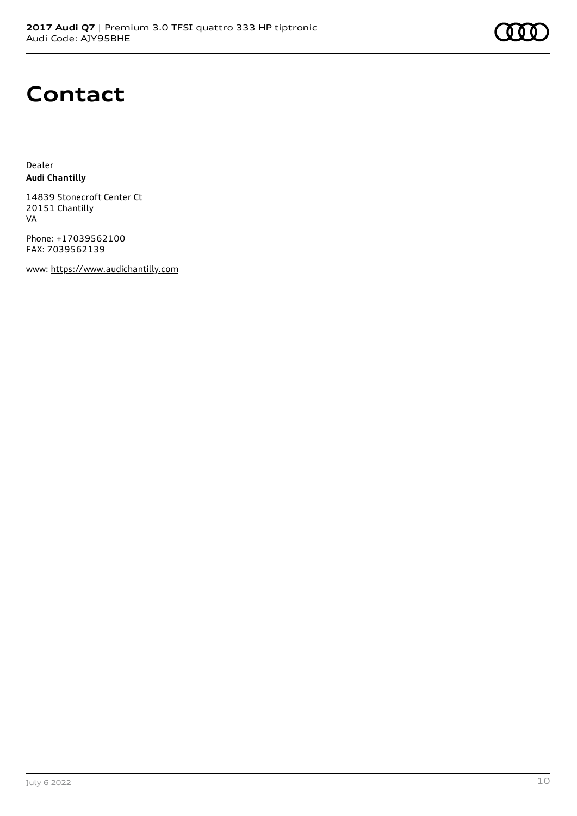## **Contact**

Dealer **Audi Chantilly**

14839 Stonecroft Center Ct 20151 Chantilly VA

Phone: +17039562100 FAX: 7039562139

www: [https://www.audichantilly.com](https://www.audichantilly.com/)